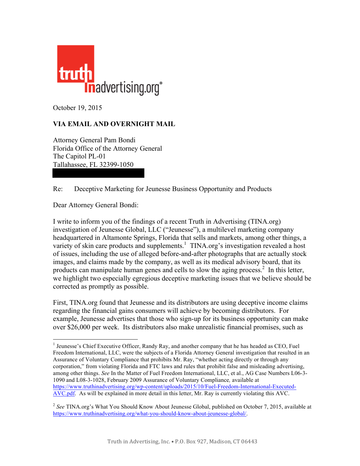

October 19, 2015

## **VIA EMAIL AND OVERNIGHT MAIL**

Attorney General Pam Bondi Florida Office of the Attorney General The Capitol PL-01 Tallahassee, FL 32399-1050

## Re: Deceptive Marketing for Jeunesse Business Opportunity and Products

Dear Attorney General Bondi:

I write to inform you of the findings of a recent Truth in Advertising (TINA.org) investigation of Jeunesse Global, LLC ("Jeunesse"), a multilevel marketing company headquartered in Altamonte Springs, Florida that sells and markets, among other things, a variety of skin care products and supplements.<sup>1</sup> TINA.org's investigation revealed a host of issues, including the use of alleged before-and-after photographs that are actually stock images, and claims made by the company, as well as its medical advisory board, that its products can manipulate human genes and cells to slow the aging process.<sup>2</sup> In this letter, we highlight two especially egregious deceptive marketing issues that we believe should be corrected as promptly as possible.

First, TINA.org found that Jeunesse and its distributors are using deceptive income claims regarding the financial gains consumers will achieve by becoming distributors. For example, Jeunesse advertises that those who sign-up for its business opportunity can make over \$26,000 per week. Its distributors also make unrealistic financial promises, such as

<sup>&</sup>lt;sup>1</sup> Jeunesse's Chief Executive Officer, Randy Ray, and another company that he has headed as CEO, Fuel Freedom International, LLC, were the subjects of a Florida Attorney General investigation that resulted in an Assurance of Voluntary Compliance that prohibits Mr. Ray, "whether acting directly or through any corporation," from violating Florida and FTC laws and rules that prohibit false and misleading advertising, among other things. *See* In the Matter of Fuel Freedom International, LLC, et al., AG Case Numbers L06-3- 1090 and L08-3-1028, February 2009 Assurance of Voluntary Compliance*,* available at [https://www.truthinadvertising.org/wp-content/uploads/2015/10/Fuel-Freedom-International-Executed-](https://www.truthinadvertising.org/wp-content/uploads/2015/10/Fuel-Freedom-International-Executed-AVC.pdf)[AVC.pdf.](https://www.truthinadvertising.org/wp-content/uploads/2015/10/Fuel-Freedom-International-Executed-AVC.pdf) As will be explained in more detail in this letter, Mr. Ray is currently violating this AVC.

<sup>2</sup> *See* TINA.org's What You Should Know About Jeunesse Global, published on October 7, 2015, available at [https://www.truthinadvertising.org/what-you-should-know-about-jeunesse-global/.](https://www.truthinadvertising.org/what-you-should-know-about-jeunesse-global/)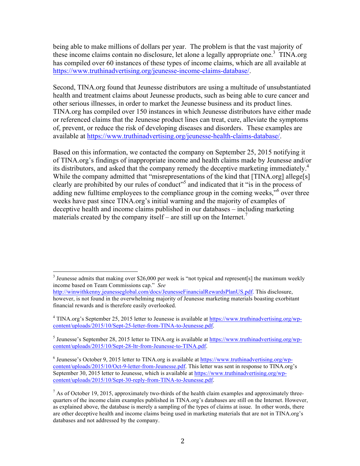being able to make millions of dollars per year. The problem is that the vast majority of these income claims contain no disclosure, let alone a legally appropriate one.<sup>3</sup> TINA.org has compiled over 60 instances of these types of income claims, which are all available at [https://www.truthinadvertising.org/jeunesse-income-claims-database/.](https://www.truthinadvertising.org/jeunesse-income-claims-database/) 

Second, TINA.org found that Jeunesse distributors are using a multitude of unsubstantiated health and treatment claims about Jeunesse products, such as being able to cure cancer and other serious illnesses, in order to market the Jeunesse business and its product lines. TINA.org has compiled over 150 instances in which Jeunesse distributors have either made or referenced claims that the Jeunesse product lines can treat, cure, alleviate the symptoms of, prevent, or reduce the risk of developing diseases and disorders. These examples are available at [https://www.truthinadvertising.org/jeunesse-health-claims-database/.](https://www.truthinadvertising.org/jeunesse-health-claims-database/) 

Based on this information, we contacted the company on September 25, 2015 notifying it of TINA.org's findings of inappropriate income and health claims made by Jeunesse and/or its distributors, and asked that the company remedy the deceptive marketing immediately.<sup>4</sup> While the company admitted that "misrepresentations of the kind that [TINA.org] allege[s] clearly are prohibited by our rules of conduct"<sup>5</sup> and indicated that it "is in the process of adding new fulltime employees to the compliance group in the coming weeks,"<sup>6</sup> over three weeks have past since TINA.org's initial warning and the majority of examples of deceptive health and income claims published in our databases – including marketing materials created by the company itself – are still up on the Internet.<sup>7</sup>

<sup>&</sup>lt;sup>3</sup> Jeunesse admits that making over \$26,000 per week is "not typical and represent[s] the maximum weekly income based on Team Commissions cap." *See*

[http://winwithkenny.jeunesseglobal.com/docs/JeunesseFinancialRewardsPlanUS.pdf.](http://winwithkenny.jeunesseglobal.com/docs/JeunesseFinancialRewardsPlanUS.pdf) This disclosure, however, is not found in the overwhelming majority of Jeunesse marketing materials boasting exorbitant financial rewards and is therefore easily overlooked.

<sup>4</sup> TINA.org's September 25, 2015 letter to Jeunesse is available at [https://www.truthinadvertising.org/wp](https://www.truthinadvertising.org/wp-content/uploads/2015/10/Sept-25-letter-from-TINA-to-Jeunesse.pdf)[content/uploads/2015/10/Sept-25-letter-from-TINA-to-Jeunesse.pdf.](https://www.truthinadvertising.org/wp-content/uploads/2015/10/Sept-25-letter-from-TINA-to-Jeunesse.pdf)

<sup>&</sup>lt;sup>5</sup> Jeunesse's September 28, 2015 letter to TINA.org is available at [https://www.truthinadvertising.org/wp](https://www.truthinadvertising.org/wp-content/uploads/2015/10/Sept-28-ltr-from-Jeunesse-to-TINA.pdf)[content/uploads/2015/10/Sept-28-ltr-from-Jeunesse-to-TINA.pdf.](https://www.truthinadvertising.org/wp-content/uploads/2015/10/Sept-28-ltr-from-Jeunesse-to-TINA.pdf)

<sup>&</sup>lt;sup>6</sup> Jeunesse's October 9, 2015 letter to TINA.org is available at [https://www.truthinadvertising.org/wp](https://www.truthinadvertising.org/wp-content/uploads/2015/10/Oct-9-letter-from-Jeunesse.pdf)[content/uploads/2015/10/Oct-9-letter-from-Jeunesse.pdf. T](https://www.truthinadvertising.org/wp-content/uploads/2015/10/Oct-9-letter-from-Jeunesse.pdf)his letter was sent in response to TINA.org's September 30, 2015 letter to Jeunesse, which is available at [https://www.truthinadvertising.org/wp](https://www.truthinadvertising.org/wp-content/uploads/2015/10/Sept-30-reply-from-TINA-to-Jeunesse.pdf)[content/uploads/2015/10/Sept-30-reply-from-TINA-to-Jeunesse.pdf.](https://www.truthinadvertising.org/wp-content/uploads/2015/10/Sept-30-reply-from-TINA-to-Jeunesse.pdf)

 $^7$  As of October 19, 2015, approximately two-thirds of the health claim examples and approximately threequarters of the income claim examples published in TINA.org's databases are still on the Internet. However, as explained above, the database is merely a sampling of the types of claims at issue. In other words, there are other deceptive health and income claims being used in marketing materials that are not in TINA.org's databases and not addressed by the company.